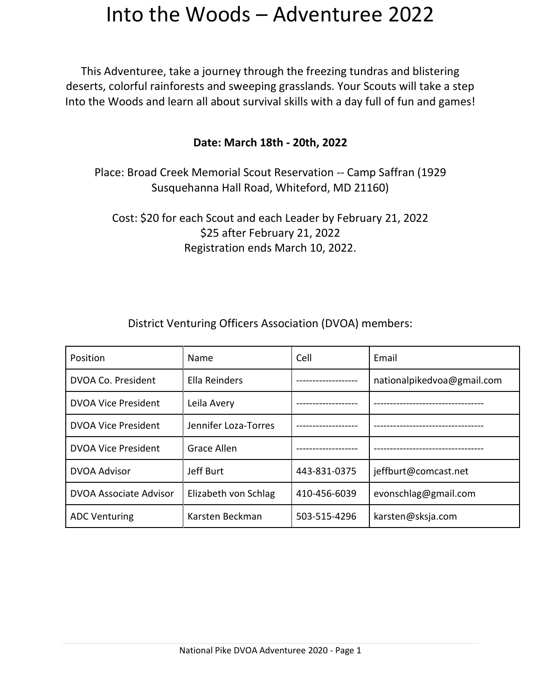This Adventuree, take a journey through the freezing tundras and blistering deserts, colorful rainforests and sweeping grasslands. Your Scouts will take a step Into the Woods and learn all about survival skills with a day full of fun and games!

#### **Date: March 18th - 20th, 2022**

Place: Broad Creek Memorial Scout Reservation -- Camp Saffran (1929 Susquehanna Hall Road, Whiteford, MD 21160)

Cost: \$20 for each Scout and each Leader by February 21, 2022 \$25 after February 21, 2022 Registration ends March 10, 2022.

| Position                   | Name                 | Cell         | Email                      |
|----------------------------|----------------------|--------------|----------------------------|
| DVOA Co. President         | Ella Reinders        |              | nationalpikedvoa@gmail.com |
| <b>DVOA Vice President</b> | Leila Avery          |              |                            |
| <b>DVOA Vice President</b> | Jennifer Loza-Torres |              |                            |
| <b>DVOA Vice President</b> | <b>Grace Allen</b>   |              |                            |
| <b>DVOA Advisor</b>        | Jeff Burt            | 443-831-0375 | jeffburt@comcast.net       |
| DVOA Associate Advisor     | Elizabeth von Schlag | 410-456-6039 | evonschlag@gmail.com       |
| <b>ADC Venturing</b>       | Karsten Beckman      | 503-515-4296 | karsten@sksja.com          |

District Venturing Officers Association (DVOA) members: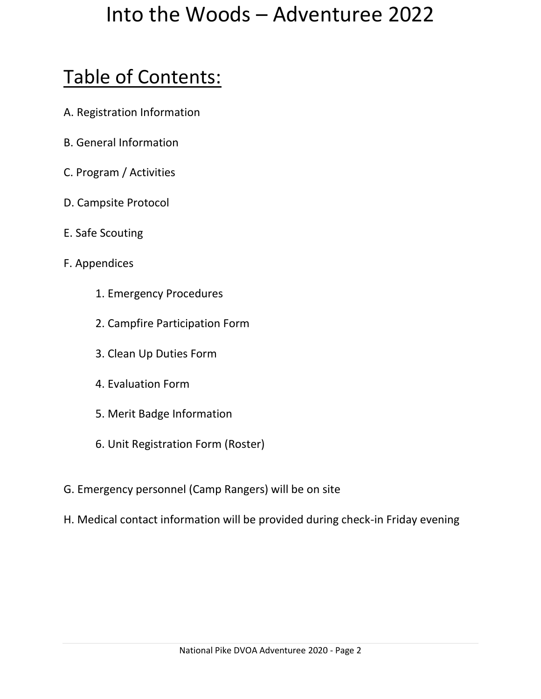# Table of Contents:

- A. Registration Information
- B. General Information
- C. Program / Activities
- D. Campsite Protocol
- E. Safe Scouting
- F. Appendices
	- 1. Emergency Procedures
	- 2. Campfire Participation Form
	- 3. Clean Up Duties Form
	- 4. Evaluation Form
	- 5. Merit Badge Information
	- 6. Unit Registration Form (Roster)
- G. Emergency personnel (Camp Rangers) will be on site
- H. Medical contact information will be provided during check-in Friday evening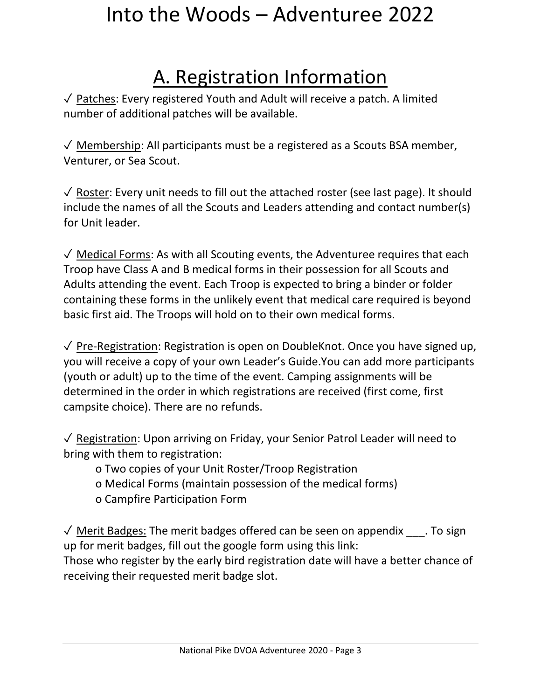# A. Registration Information

✓ Patches: Every registered Youth and Adult will receive a patch. A limited number of additional patches will be available.

 $\sqrt{\ }$  Membership: All participants must be a registered as a Scouts BSA member, Venturer, or Sea Scout.

 $\sqrt{\ }$  Roster: Every unit needs to fill out the attached roster (see last page). It should include the names of all the Scouts and Leaders attending and contact number(s) for Unit leader.

✓ Medical Forms: As with all Scouting events, the Adventuree requires that each Troop have Class A and B medical forms in their possession for all Scouts and Adults attending the event. Each Troop is expected to bring a binder or folder containing these forms in the unlikely event that medical care required is beyond basic first aid. The Troops will hold on to their own medical forms.

✓ Pre-Registration: Registration is open on DoubleKnot. Once you have signed up, you will receive a copy of your own Leader's Guide.You can add more participants (youth or adult) up to the time of the event. Camping assignments will be determined in the order in which registrations are received (first come, first campsite choice). There are no refunds.

✓ Registration: Upon arriving on Friday, your Senior Patrol Leader will need to bring with them to registration:

- o Two copies of your Unit Roster/Troop Registration
- o Medical Forms (maintain possession of the medical forms)
- o Campfire Participation Form

 $\sqrt{2}$  Merit Badges: The merit badges offered can be seen on appendix  $\cdots$  To sign up for merit badges, fill out the google form using this link:

Those who register by the early bird registration date will have a better chance of receiving their requested merit badge slot.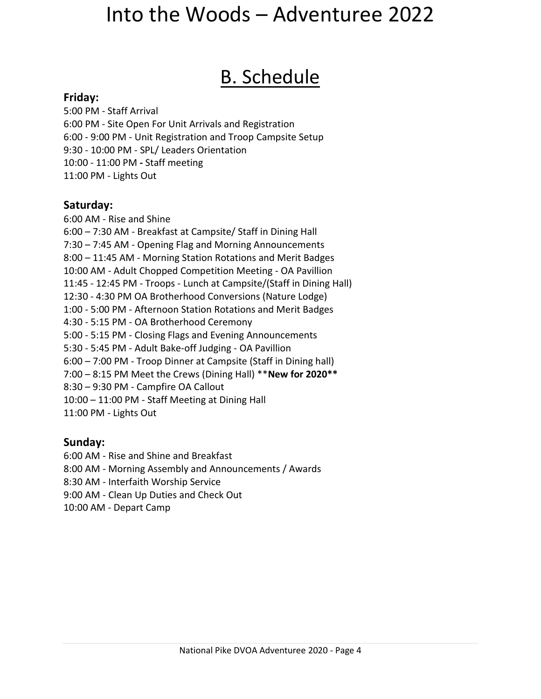#### B. Schedule

#### **Friday:**

5:00 PM - Staff Arrival 6:00 PM - Site Open For Unit Arrivals and Registration 6:00 - 9:00 PM - Unit Registration and Troop Campsite Setup 9:30 - 10:00 PM - SPL/ Leaders Orientation 10:00 - 11:00 PM **-** Staff meeting 11:00 PM - Lights Out

#### **Saturday:**

6:00 AM - Rise and Shine 6:00 – 7:30 AM - Breakfast at Campsite/ Staff in Dining Hall 7:30 – 7:45 AM - Opening Flag and Morning Announcements 8:00 – 11:45 AM - Morning Station Rotations and Merit Badges 10:00 AM - Adult Chopped Competition Meeting - OA Pavillion 11:45 - 12:45 PM - Troops - Lunch at Campsite/(Staff in Dining Hall) 12:30 - 4:30 PM OA Brotherhood Conversions (Nature Lodge) 1:00 - 5:00 PM - Afternoon Station Rotations and Merit Badges 4:30 - 5:15 PM - OA Brotherhood Ceremony 5:00 - 5:15 PM - Closing Flags and Evening Announcements 5:30 - 5:45 PM - Adult Bake-off Judging - OA Pavillion 6:00 – 7:00 PM - Troop Dinner at Campsite (Staff in Dining hall) 7:00 – 8:15 PM Meet the Crews (Dining Hall) \*\***New for 2020\*\*** 8:30 – 9:30 PM - Campfire OA Callout 10:00 – 11:00 PM - Staff Meeting at Dining Hall 11:00 PM - Lights Out

#### **Sunday:**

6:00 AM - Rise and Shine and Breakfast

8:00 AM - Morning Assembly and Announcements / Awards

8:30 AM - Interfaith Worship Service

9:00 AM - Clean Up Duties and Check Out

10:00 AM - Depart Camp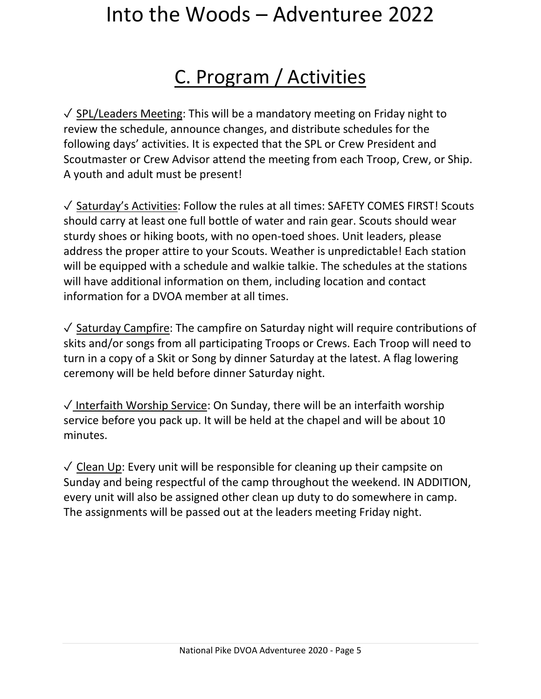# C. Program / Activities

✓ SPL/Leaders Meeting: This will be a mandatory meeting on Friday night to review the schedule, announce changes, and distribute schedules for the following days' activities. It is expected that the SPL or Crew President and Scoutmaster or Crew Advisor attend the meeting from each Troop, Crew, or Ship. A youth and adult must be present!

✓ Saturday's Activities: Follow the rules at all times: SAFETY COMES FIRST! Scouts should carry at least one full bottle of water and rain gear. Scouts should wear sturdy shoes or hiking boots, with no open-toed shoes. Unit leaders, please address the proper attire to your Scouts. Weather is unpredictable! Each station will be equipped with a schedule and walkie talkie. The schedules at the stations will have additional information on them, including location and contact information for a DVOA member at all times.

✓ Saturday Campfire: The campfire on Saturday night will require contributions of skits and/or songs from all participating Troops or Crews. Each Troop will need to turn in a copy of a Skit or Song by dinner Saturday at the latest. A flag lowering ceremony will be held before dinner Saturday night.

✓ Interfaith Worship Service: On Sunday, there will be an interfaith worship service before you pack up. It will be held at the chapel and will be about 10 minutes.

 $\sqrt{\ }$  Clean Up: Every unit will be responsible for cleaning up their campsite on Sunday and being respectful of the camp throughout the weekend. IN ADDITION, every unit will also be assigned other clean up duty to do somewhere in camp. The assignments will be passed out at the leaders meeting Friday night.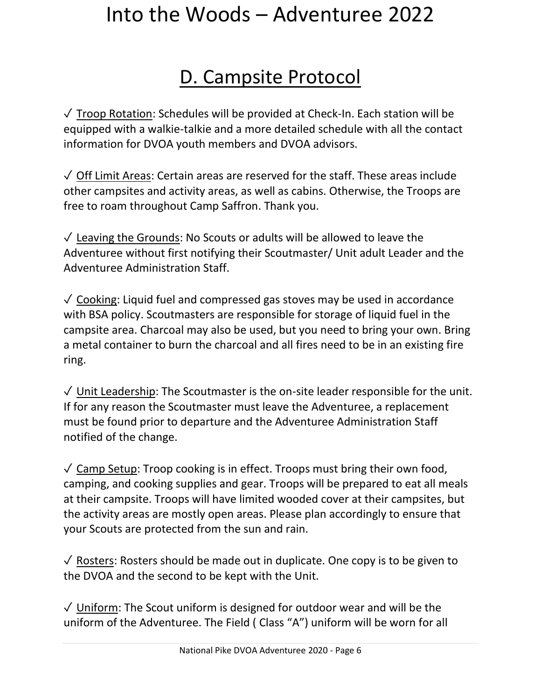### D. Campsite Protocol

 $\sqrt{\ }$  Troop Rotation: Schedules will be provided at Check-In. Each station will be equipped with a walkie-talkie and a more detailed schedule with all the contact information for DVOA youth members and DVOA advisors.

✓ Off Limit Areas: Certain areas are reserved for the staff. These areas include other campsites and activity areas, as well as cabins. Otherwise, the Troops are free to roam throughout Camp Saffron. Thank you.

 $\sqrt{\ }$  Leaving the Grounds: No Scouts or adults will be allowed to leave the Adventuree without first notifying their Scoutmaster/ Unit adult Leader and the Adventuree Administration Staff.

✓ Cooking: Liquid fuel and compressed gas stoves may be used in accordance with BSA policy. Scoutmasters are responsible for storage of liquid fuel in the campsite area. Charcoal may also be used, but you need to bring your own. Bring a metal container to burn the charcoal and all fires need to be in an existing fire ring.

 $\sqrt{\frac{1}{1}}$  Unit Leadership: The Scoutmaster is the on-site leader responsible for the unit. If for any reason the Scoutmaster must leave the Adventuree, a replacement must be found prior to departure and the Adventuree Administration Staff notified of the change.

 $\sqrt{2}$  Camp Setup: Troop cooking is in effect. Troops must bring their own food, camping, and cooking supplies and gear. Troops will be prepared to eat all meals at their campsite. Troops will have limited wooded cover at their campsites, but the activity areas are mostly open areas. Please plan accordingly to ensure that your Scouts are protected from the sun and rain.

 $\sqrt{2}$  Rosters: Rosters should be made out in duplicate. One copy is to be given to the DVOA and the second to be kept with the Unit.

✓ Uniform: The Scout uniform is designed for outdoor wear and will be the uniform of the Adventuree. The Field ( Class "A") uniform will be worn for all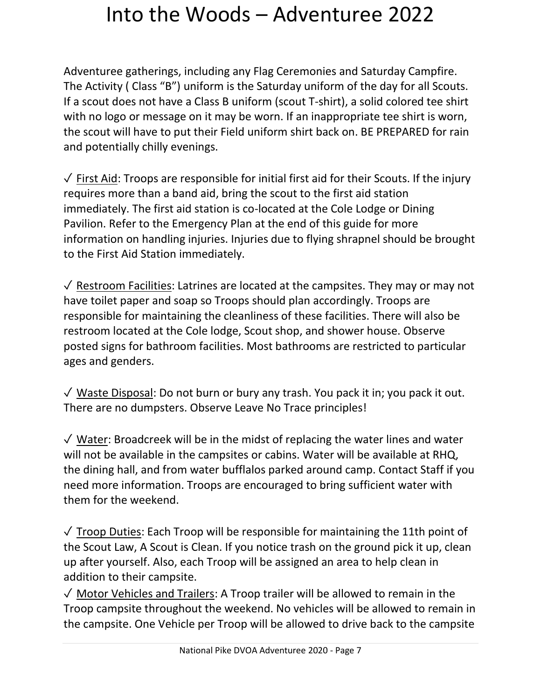Adventuree gatherings, including any Flag Ceremonies and Saturday Campfire. The Activity ( Class "B") uniform is the Saturday uniform of the day for all Scouts. If a scout does not have a Class B uniform (scout T-shirt), a solid colored tee shirt with no logo or message on it may be worn. If an inappropriate tee shirt is worn, the scout will have to put their Field uniform shirt back on. BE PREPARED for rain and potentially chilly evenings.

✓ First Aid: Troops are responsible for initial first aid for their Scouts. If the injury requires more than a band aid, bring the scout to the first aid station immediately. The first aid station is co-located at the Cole Lodge or Dining Pavilion. Refer to the Emergency Plan at the end of this guide for more information on handling injuries. Injuries due to flying shrapnel should be brought to the First Aid Station immediately.

✓ Restroom Facilities: Latrines are located at the campsites. They may or may not have toilet paper and soap so Troops should plan accordingly. Troops are responsible for maintaining the cleanliness of these facilities. There will also be restroom located at the Cole lodge, Scout shop, and shower house. Observe posted signs for bathroom facilities. Most bathrooms are restricted to particular ages and genders.

 $\sqrt{ }$  Waste Disposal: Do not burn or bury any trash. You pack it in; you pack it out. There are no dumpsters. Observe Leave No Trace principles!

✓ Water: Broadcreek will be in the midst of replacing the water lines and water will not be available in the campsites or cabins. Water will be available at RHQ, the dining hall, and from water bufflalos parked around camp. Contact Staff if you need more information. Troops are encouraged to bring sufficient water with them for the weekend.

 $\sqrt{ }$  Troop Duties: Each Troop will be responsible for maintaining the 11th point of the Scout Law, A Scout is Clean. If you notice trash on the ground pick it up, clean up after yourself. Also, each Troop will be assigned an area to help clean in addition to their campsite.

✓ Motor Vehicles and Trailers: A Troop trailer will be allowed to remain in the Troop campsite throughout the weekend. No vehicles will be allowed to remain in the campsite. One Vehicle per Troop will be allowed to drive back to the campsite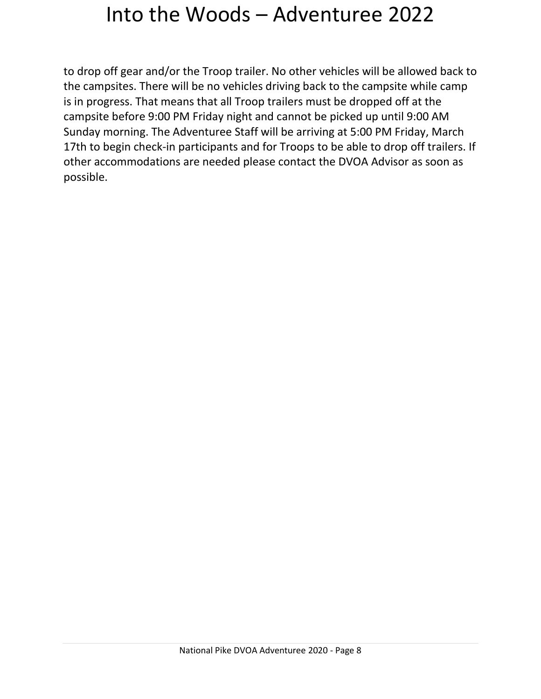to drop off gear and/or the Troop trailer. No other vehicles will be allowed back to the campsites. There will be no vehicles driving back to the campsite while camp is in progress. That means that all Troop trailers must be dropped off at the campsite before 9:00 PM Friday night and cannot be picked up until 9:00 AM Sunday morning. The Adventuree Staff will be arriving at 5:00 PM Friday, March 17th to begin check-in participants and for Troops to be able to drop off trailers. If other accommodations are needed please contact the DVOA Advisor as soon as possible.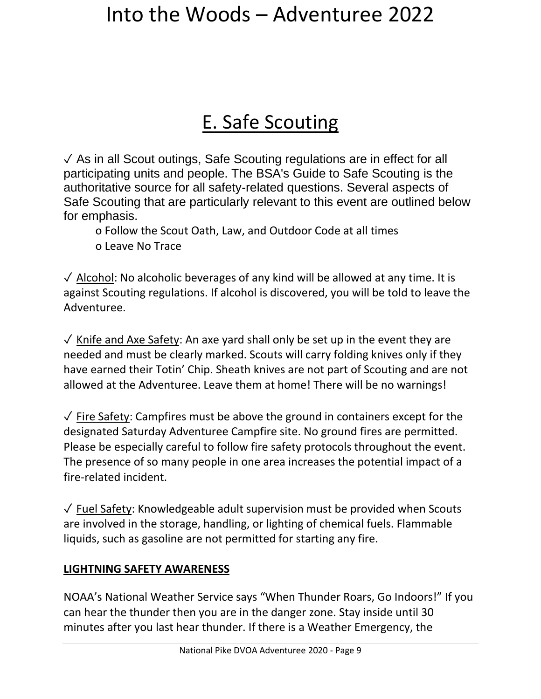### E. Safe Scouting

✓ As in all Scout outings, Safe Scouting regulations are in effect for all participating units and people. The BSA's Guide to Safe Scouting is the authoritative source for all safety-related questions. Several aspects of Safe Scouting that are particularly relevant to this event are outlined below for emphasis.

o Follow the Scout Oath, Law, and Outdoor Code at all times o Leave No Trace

 $\sqrt{\frac{1}{10}}$  Alcohol: No alcoholic beverages of any kind will be allowed at any time. It is against Scouting regulations. If alcohol is discovered, you will be told to leave the Adventuree.

 $\sqrt{\ }$  Knife and Axe Safety: An axe yard shall only be set up in the event they are needed and must be clearly marked. Scouts will carry folding knives only if they have earned their Totin' Chip. Sheath knives are not part of Scouting and are not allowed at the Adventuree. Leave them at home! There will be no warnings!

 $\sqrt{\ }$  Fire Safety: Campfires must be above the ground in containers except for the designated Saturday Adventuree Campfire site. No ground fires are permitted. Please be especially careful to follow fire safety protocols throughout the event. The presence of so many people in one area increases the potential impact of a fire-related incident.

 $\sqrt{\frac{Fuel Safety}}$ : Knowledgeable adult supervision must be provided when Scouts are involved in the storage, handling, or lighting of chemical fuels. Flammable liquids, such as gasoline are not permitted for starting any fire.

#### **LIGHTNING SAFETY AWARENESS**

NOAA's National Weather Service says "When Thunder Roars, Go Indoors!" If you can hear the thunder then you are in the danger zone. Stay inside until 30 minutes after you last hear thunder. If there is a Weather Emergency, the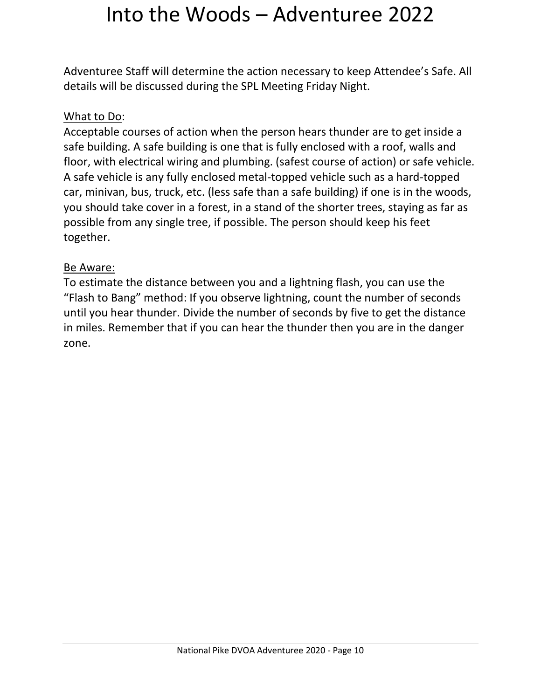Adventuree Staff will determine the action necessary to keep Attendee's Safe. All details will be discussed during the SPL Meeting Friday Night.

#### What to Do:

Acceptable courses of action when the person hears thunder are to get inside a safe building. A safe building is one that is fully enclosed with a roof, walls and floor, with electrical wiring and plumbing. (safest course of action) or safe vehicle. A safe vehicle is any fully enclosed metal-topped vehicle such as a hard-topped car, minivan, bus, truck, etc. (less safe than a safe building) if one is in the woods, you should take cover in a forest, in a stand of the shorter trees, staying as far as possible from any single tree, if possible. The person should keep his feet together.

#### Be Aware:

To estimate the distance between you and a lightning flash, you can use the "Flash to Bang" method: If you observe lightning, count the number of seconds until you hear thunder. Divide the number of seconds by five to get the distance in miles. Remember that if you can hear the thunder then you are in the danger zone.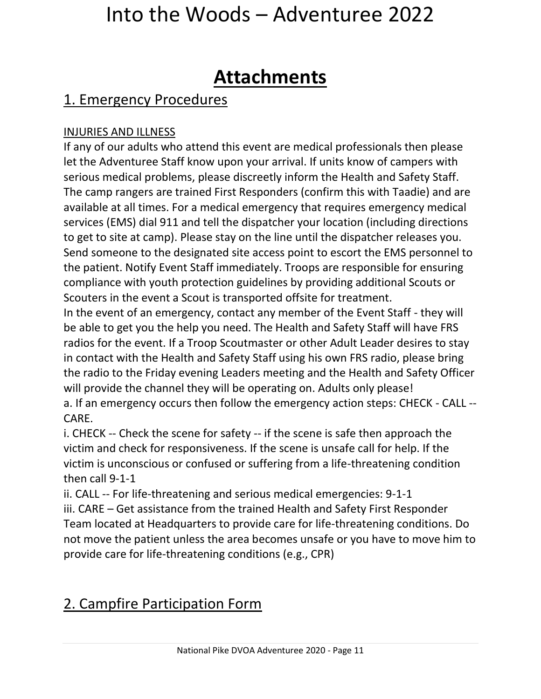### **Attachments**

#### 1. Emergency Procedures

#### INJURIES AND ILLNESS

If any of our adults who attend this event are medical professionals then please let the Adventuree Staff know upon your arrival. If units know of campers with serious medical problems, please discreetly inform the Health and Safety Staff. The camp rangers are trained First Responders (confirm this with Taadie) and are available at all times. For a medical emergency that requires emergency medical services (EMS) dial 911 and tell the dispatcher your location (including directions to get to site at camp). Please stay on the line until the dispatcher releases you. Send someone to the designated site access point to escort the EMS personnel to the patient. Notify Event Staff immediately. Troops are responsible for ensuring compliance with youth protection guidelines by providing additional Scouts or Scouters in the event a Scout is transported offsite for treatment.

In the event of an emergency, contact any member of the Event Staff - they will be able to get you the help you need. The Health and Safety Staff will have FRS radios for the event. If a Troop Scoutmaster or other Adult Leader desires to stay in contact with the Health and Safety Staff using his own FRS radio, please bring the radio to the Friday evening Leaders meeting and the Health and Safety Officer will provide the channel they will be operating on. Adults only please! a. If an emergency occurs then follow the emergency action steps: CHECK - CALL -- CARE.

i. CHECK -- Check the scene for safety -- if the scene is safe then approach the victim and check for responsiveness. If the scene is unsafe call for help. If the victim is unconscious or confused or suffering from a life-threatening condition then call 9-1-1

ii. CALL -- For life-threatening and serious medical emergencies: 9-1-1 iii. CARE – Get assistance from the trained Health and Safety First Responder Team located at Headquarters to provide care for life-threatening conditions. Do not move the patient unless the area becomes unsafe or you have to move him to provide care for life-threatening conditions (e.g., CPR)

#### 2. Campfire Participation Form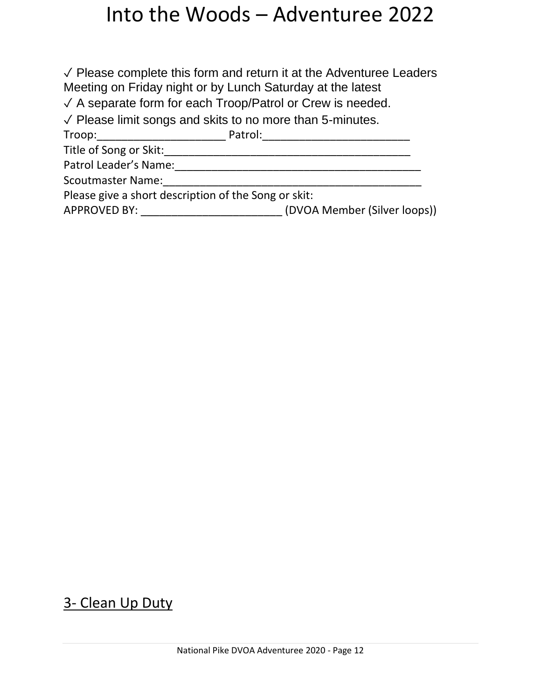✓ Please complete this form and return it at the Adventuree Leaders Meeting on Friday night or by Lunch Saturday at the latest

✓ A separate form for each Troop/Patrol or Crew is needed.

✓ Please limit songs and skits to no more than 5-minutes.

Troop:\_\_\_\_\_\_\_\_\_\_\_\_\_\_\_\_\_\_\_\_\_ Patrol:\_\_\_\_\_\_\_\_\_\_\_\_\_\_\_\_\_\_\_\_\_\_\_\_

Title of Song or Skit:\_\_\_\_\_\_\_\_\_\_\_\_\_\_\_\_\_\_\_\_\_\_\_\_\_\_\_\_\_\_\_\_\_\_\_\_\_\_\_\_

Patrol Leader's Name:\_\_\_\_\_\_\_\_\_\_\_\_\_\_\_\_\_\_\_\_\_\_\_\_\_\_\_\_\_\_\_\_\_\_\_\_\_\_\_\_

Scoutmaster Name:\_\_\_\_\_\_\_\_\_\_\_\_\_\_\_\_\_\_\_\_\_\_\_\_\_\_\_\_\_\_\_\_\_\_\_\_\_\_\_\_\_\_

Please give a short description of the Song or skit:

APPROVED BY: \_\_\_\_\_\_\_\_\_\_\_\_\_\_\_\_\_\_\_\_\_\_\_ (DVOA Member (Silver loops))

#### 3- Clean Up Duty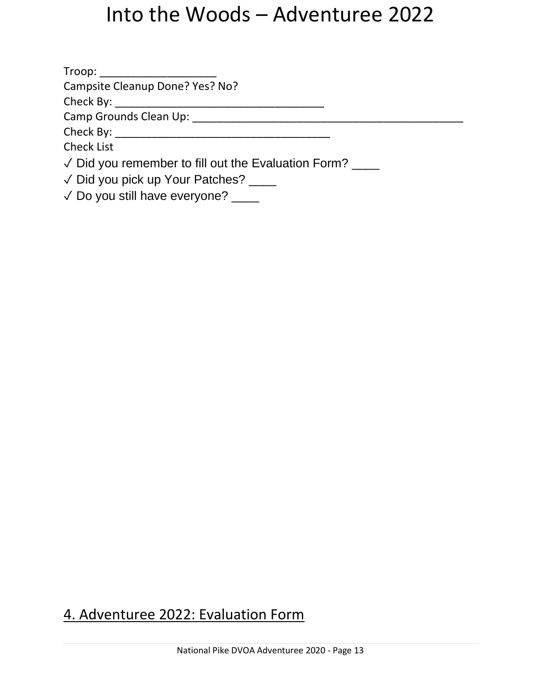| Troop: _____________________                                 |  |  |
|--------------------------------------------------------------|--|--|
| Campsite Cleanup Done? Yes? No?                              |  |  |
|                                                              |  |  |
| Camp Grounds Clean Up: Camp Grounds Clean Up:                |  |  |
|                                                              |  |  |
| <b>Check List</b>                                            |  |  |
| $\sqrt{2}$ Did you remember to fill out the Evaluation Form? |  |  |
| √ Did you pick up Your Patches? ____                         |  |  |
| $\sqrt{2}$ Do you still have everyone?                       |  |  |

#### 4. Adventuree 2022: Evaluation Form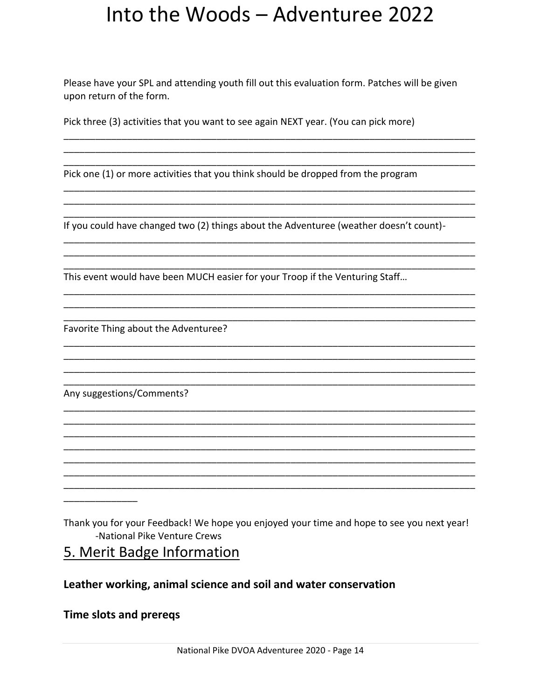Please have your SPL and attending youth fill out this evaluation form. Patches will be given upon return of the form.

Pick three (3) activities that you want to see again NEXT year. (You can pick more)

Pick one (1) or more activities that you think should be dropped from the program

If you could have changed two (2) things about the Adventuree (weather doesn't count)-

This event would have been MUCH easier for your Troop if the Venturing Staff...

Favorite Thing about the Adventuree?

Any suggestions/Comments?

Thank you for your Feedback! We hope you enjoyed your time and hope to see you next year! -National Pike Venture Crews

5. Merit Badge Information

#### Leather working, animal science and soil and water conservation

#### **Time slots and prereqs**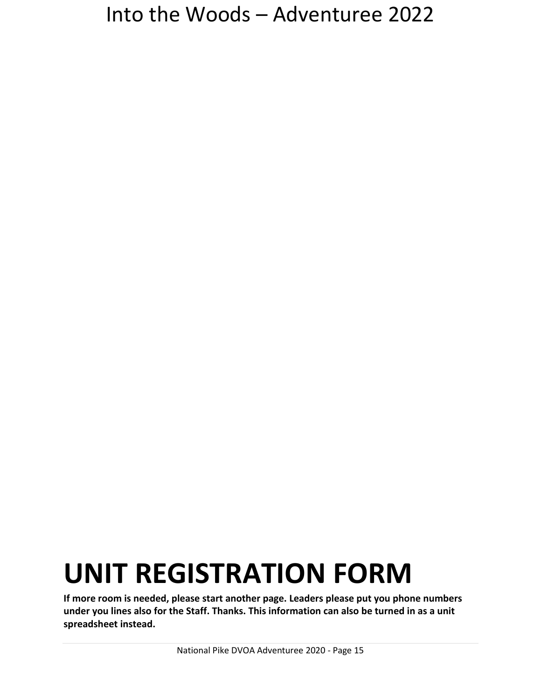# **UNIT REGISTRATION FORM**

**If more room is needed, please start another page. Leaders please put you phone numbers under you lines also for the Staff. Thanks. This information can also be turned in as a unit spreadsheet instead.**